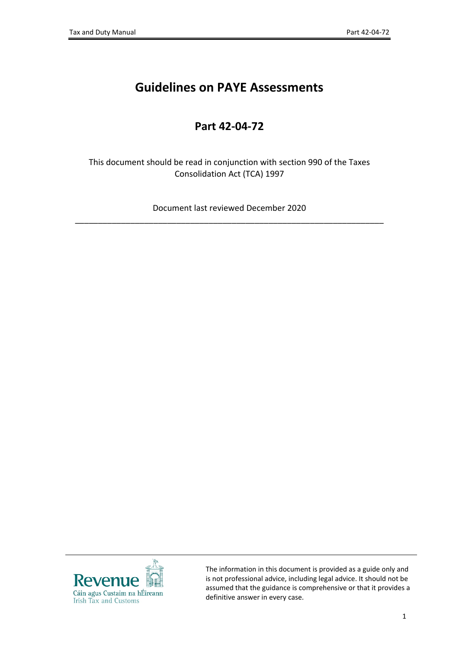# **Guidelines on PAYE Assessments**

## **Part 42-04-72**

This document should be read in conjunction with section 990 of the Taxes Consolidation Act (TCA) 1997

Document last reviewed December 2020 \_\_\_\_\_\_\_\_\_\_\_\_\_\_\_\_\_\_\_\_\_\_\_\_\_\_\_\_\_\_\_\_\_\_\_\_\_\_\_\_\_\_\_\_\_\_\_\_\_\_\_\_\_\_\_\_\_\_\_\_\_\_\_\_\_\_\_



The information in this document is provided as a guide only and is not professional advice, including legal advice. It should not be assumed that the guidance is comprehensive or that it provides a definitive answer in every case.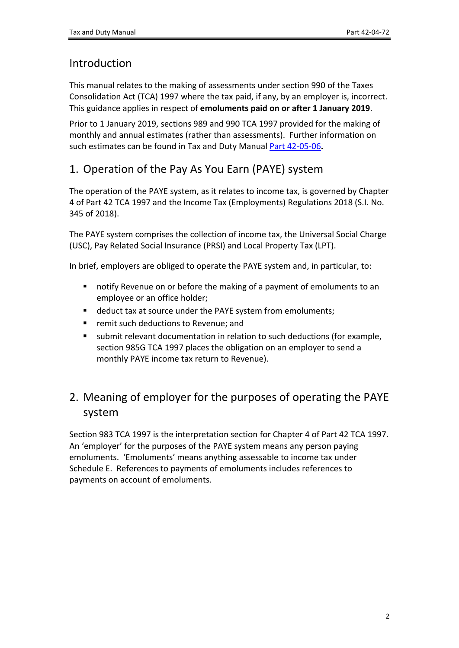## Introduction

This manual relates to the making of assessments under section 990 of the Taxes Consolidation Act (TCA) 1997 where the tax paid, if any, by an employer is, incorrect. This guidance applies in respect of **emoluments paid on or after 1 January 2019**.

Prior to 1 January 2019, sections 989 and 990 TCA 1997 provided for the making of monthly and annual estimates (rather than assessments). Further information on such estimates can be found in Tax and Duty Manual [Part](https://www.revenue.ie/en/tax-professionals/tdm/income-tax-capital-gains-tax-corporation-tax/part-42/42-05-06.pdf) [42-05-06](https://www.revenue.ie/en/tax-professionals/tdm/income-tax-capital-gains-tax-corporation-tax/part-42/42-05-06.pdf)**.**

# 1. Operation of the Pay As You Earn (PAYE) system

The operation of the PAYE system, as it relates to income tax, is governed by Chapter 4 of Part 42 TCA 1997 and the Income Tax (Employments) Regulations 2018 (S.I. No. 345 of 2018).

The PAYE system comprises the collection of income tax, the Universal Social Charge (USC), Pay Related Social Insurance (PRSI) and Local Property Tax (LPT).

In brief, employers are obliged to operate the PAYE system and, in particular, to:

- notify Revenue on or before the making of a payment of emoluments to an employee or an office holder;
- deduct tax at source under the PAYE system from emoluments;
- **F** remit such deductions to Revenue; and
- submit relevant documentation in relation to such deductions (for example, section 985G TCA 1997 places the obligation on an employer to send a monthly PAYE income tax return to Revenue).

# 2. Meaning of employer for the purposes of operating the PAYE system

Section 983 TCA 1997 is the interpretation section for Chapter 4 of Part 42 TCA 1997. An 'employer' for the purposes of the PAYE system means any person paying emoluments. 'Emoluments' means anything assessable to income tax under Schedule E. References to payments of emoluments includes references to payments on account of emoluments.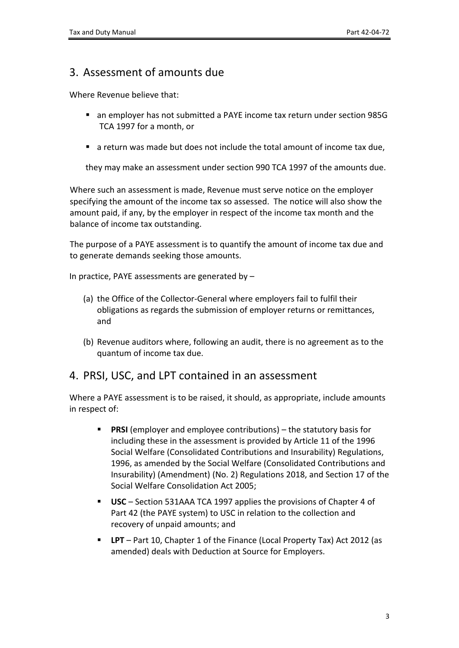### 3. Assessment of amounts due

Where Revenue believe that:

- an employer has not submitted a PAYE income tax return under section 985G TCA 1997 for a month, or
- a return was made but does not include the total amount of income tax due,

they may make an assessment under section 990 TCA 1997 of the amounts due.

Where such an assessment is made, Revenue must serve notice on the employer specifying the amount of the income tax so assessed. The notice will also show the amount paid, if any, by the employer in respect of the income tax month and the balance of income tax outstanding.

The purpose of a PAYE assessment is to quantify the amount of income tax due and to generate demands seeking those amounts.

In practice, PAYE assessments are generated by –

- (a) the Office of the Collector-General where employers fail to fulfil their obligations as regards the submission of employer returns or remittances, and
- (b) Revenue auditors where, following an audit, there is no agreement as to the quantum of income tax due.

### 4. PRSI, USC, and LPT contained in an assessment

Where a PAYE assessment is to be raised, it should, as appropriate, include amounts in respect of:

- **PRSI** (employer and employee contributions) the statutory basis for including these in the assessment is provided by Article 11 of the 1996 Social Welfare (Consolidated Contributions and Insurability) Regulations, 1996, as amended by the Social Welfare (Consolidated Contributions and Insurability) (Amendment) (No. 2) Regulations 2018, and Section 17 of the Social Welfare Consolidation Act 2005;
- **USC** Section 531AAA TCA 1997 applies the provisions of Chapter 4 of Part 42 (the PAYE system) to USC in relation to the collection and recovery of unpaid amounts; and
- **LPT** Part 10, Chapter 1 of the Finance (Local Property Tax) Act 2012 (as amended) deals with Deduction at Source for Employers.